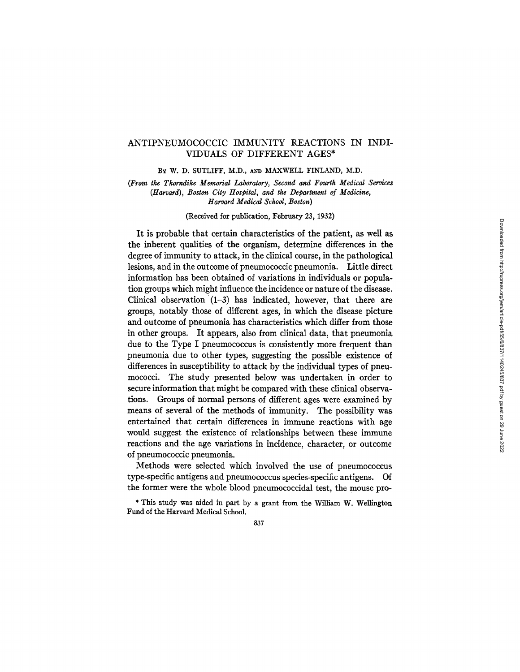# ANTIPNEUMOCOCCIC IMMUNITY REACTIONS IN INDI-VIDUALS OF DIFFERENT AGES\*

BY W. D. SUTLIFF, M.D., AND MAXWELL FINLAND, M.D.

*(From tke Thorndike Memorial Laboratory, Second and Fourth Medical Services (Harvard), Boston City Hospital, and the Department of Medicine, Harvard Medical School, Boston)* 

(Received for publication, February 23, 1932)

It is probable that certain characteristics of the patient, as well as the inherent qualities of the organism, determine differences in the degree of immunity to attack, in the clinical course, in the pathological lesions, and in the outcome of pneumococcic pneumonia. Little direct information has been obtained of variations in individuals or population groups which might influence the incidence or nature of the disease. Clinical observation  $(1-3)$  has indicated, however, that there are groups, notably those of different ages, in which the disease picture and outcome of pneumonia has characteristics which differ from those in other groups. It appears, also from clinical data, that pneumonia due to the Type I pneumococcus is consistently more frequent than pneumonia due to other types, suggesting the possible existence of differences in susceptibility to attack by the individual types of pneumococci. The study presented below was undertaken in order to secure information that might be compared with these clinical observations. Groups of normal persons of different ages were examined by means of several of the methods of immunity. The possibility was entertained that certain differences in immune reactions with age would suggest the existence of relationships between these immune reactions and the age variations in incidence, character, or outcome of pneumococcic pneumonia.

Methods were selected which involved the use of pneumococcus type-specific antigens and pneumococcus species-specific antigens. Of the former were the whole blood pneumococcidal test, the mouse pro-

\* This study was aided in part by a grant from the William W. Wellington Fund of the Harvard Medical School.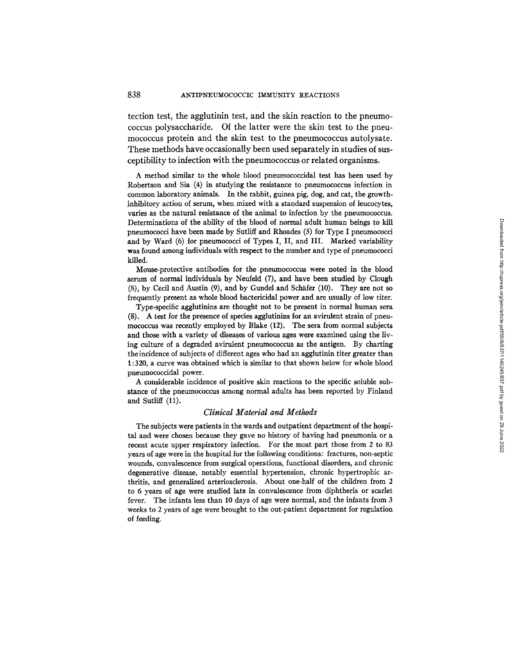tection test, the agglutinin test, and the skin reaction to the pneumococcus polysaccharide. Of the latter were the skin test to the pneumococcus protein and the skin test to the pneumococcus autolysate. These methods have occasionally been used separately in studies of susceptibility to infection with the pneumococcus or related organisms.

A method similar to the whole blood pneumococcidal test has been used by Robertson and Sia (4) in studying the resistance to pneumococcus infection in common laboratory animals. In the rabbit, guinea pig, dog, and cat, the growthinhibitory action of serum, when mixed with a standard suspension of leucocytes, varies as the natural resistance of the animal to infection by the pneumococcus. Determinations of the ability of the blood of normal adult human beings to kill pneumococci have been made by Sutliff and Rhoades (5) for Type I pneumococci and by Ward (6) for pneumococci of Types I, II, and III. Marked variability was found among individuals with respect to the number and type of pneumococci killed.

Mouse-protective antibodies for the pneumococcus were noted in the blood serum of normal individuals by Neufeld (7), and have been studied by Clough  $(8)$ , by Cecil and Austin  $(9)$ , and by Gundel and Schäfer  $(10)$ . They are not so frequently present as whole blood bactericidal power and are usually of low titer.

Type-specific agglutinins are thought not to be present in normal human sera (8). A test for the presence of species agglutinius for an avirulent strain of pneumococcus was recently employed by Blake (12). The sera from normal subjects and those with a variety of diseases of various ages were examined using the living culture of a degraded avirulent pneumococcus as the antigen. By charting theincidence of subjects of different ages who had an agglutinin titer greater than 1:320, a curve was obtained which is similar to that shown below for whole blood pneumococcidal power.

A considerable incidence of positive skin reactions to the specific soluble substance of the pneumococcus among normal adults has been reported by Finland and Sutliff (11).

### *Clinical Material and Methods*

The subjects were patients in the wards and outpatient department of the hospital and were chosen because they gave no history of having had pneumonia or a recent acute upper respiratory infection. For the most part those from 2 to 83 years of age were in the hospital for the following conditions: fractures, non-septic wounds, convalescence from surgical operations, functional disorders, and chronic degenerative disease, notably essential hypertension, chronic hypertrophic arthritis, and generalized arteriosclerosis. About one-half of the children from 2 to 6 years of age were studied late in convalescence from diphtheria or scarlet fever. The infants less than 10 days of age were normal, and the infants from 3 weeks to 2 years of age were brought to the out-patient department for regulation of feeding.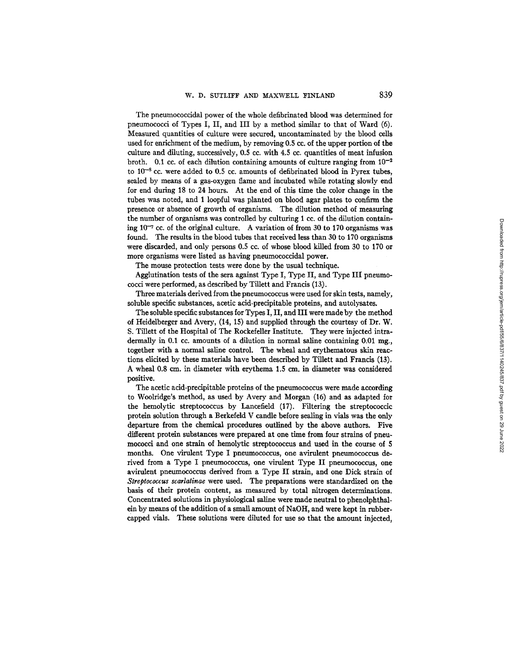The pneumococcidal power of the whole defihrinated blood was determined for pneumococci of Types I, II, and III by a method similar to that of Ward (6). Measured quantities of culture were secured, uncontaminated by the blood ceils used for enrichment of the medium, by removing 0.5 cc. of the upper portion of the culture and diluting, successively,  $0.5$  cc. with  $4.5$  cc. quantities of meat infusion broth. 0.1 cc. of each dilution containing amounts of culture ranging from  $10^{-2}$ to  $10^{-8}$  cc. were added to 0.5 cc. amounts of defibrinated blood in Pyrex tubes, sealed by means of a gas-oxygen flame and incubated while rotating slowly end for end during 18 to 24 hours. At the end of this time the color change in the tubes was noted, and 1 loopful was planted on blood agar plates to confirm the presence or absence of growth of organisms. The dilution method of measuring the number of organisms was controlled by culturing 1 cc. of the dilution containing  $10^{-7}$  cc. of the original culture. A variation of from 30 to 170 organisms was found. The results in the blood tubes that received less than 30 to 170 organisms were discarded, and only persons 0.5 cc. of whose blood killed from 30 to 170 or more organisms were listed as having pneumococcidal power.

The mouse protection tests were done by the usual technique.

Agglutination tests of the sera against Type I, Type II, and Type III pneumococci were performed, as described by Tillett and Francis (13).

Three materials derived from the pneumococcus were used for skin tests, namely, soluble specific substances, acetic acid-precipitable proteins, and autolysates.

The soluble specific substances for Types I, II, and III were made by the method of Heidelberger and Avery, (14, 15) and supplied through the courtesy of Dr. W. S. Tillett of the Hospital of The Rockefeller Institute. They were injected intradermally in 0.1 cc. amounts of a dilution in normal saline containing  $0.01$  mg., together with a normal saline control. The wheal and erythematous skin reactions elicited by these materials have been described by Tillett and Francis (13). A wheal 0.8 cm. in diameter with erythema 1.5 cm. in diameter was considered positive.

The acetic acid-precipitable proteins of the pneumococcus were made according to Woolridge's method, as used by Avery and Morgan (16) and as adapted for the hemolytic streptococcus by Lancefield (17). Filtering the streptococcic protein solution through a Berkefeld V candle before sealing in vials was the only departure from the chemical procedures outlined by the above authors. Five different protein substances were prepared at one time from four strains of pneumococci and one strain of hemolytic streptococcus and used in the course of 5 months. One virulent Type I pneumococcus, one avirulent pneumococcus derived from a Type I pneumococcus, one virulent Type II pneumococcus, one avirulent pneumococcus derived from a Type II strain, and one Dick strain of *Streptococcus scarlatinae* were used. The preparations were standardized on the basis of their protein content, as measured by total nitrogen determinations. Concentrated solutions in physiological saline were made neutral to phenolphthalein by means of the addition of a small amount of NaOH, and were kept in rubbercapped vials. These solutions were diluted for use so that the amount injected,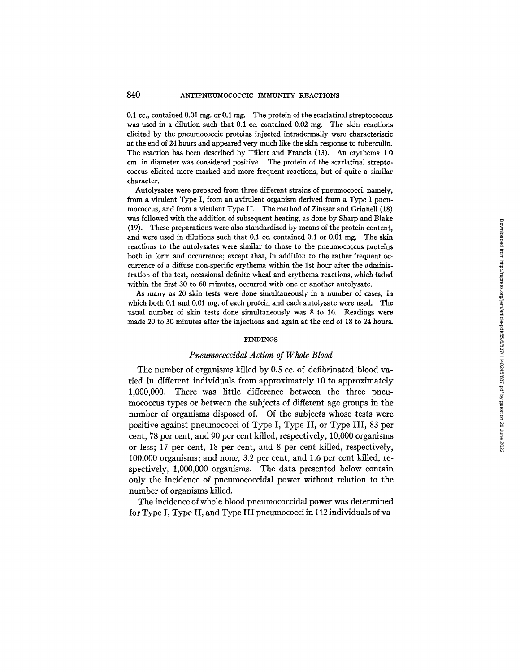0.1 cc., contained 0.01 mg. or 0.1 mg. The protein of the scarlatinal streptococcus was used in a dilution such that 0.1 cc. contained 0.02 mg. The skin reactions elicited by the pneumococcic proteins injected intradermally were characteristic at the end of 24 hours and appeared very much like the skin response to tuberculin. The reaction has been described by Tillett and Francis (13). An erythema 1.0 cm. in diameter was considered positive. The protein of the scarlatinal streptococcus elicited more marked and more frequent reactions, but of quite a similar character.

Autolysates were prepared from three different strains of pneumococci, namely, from a virulent Type I, from an avirulent organism derived from a Type I pneumococcus, and from a virulent Type II. The method of Zinsser and Grinnell (18) was followed with the addition of subsequent heating, as done by Sharp and Blake (19). These preparations were also standardized by means of the protein content, and were used in dilutions such that 0.1 cc. contained 0.1 or 0.01 mg. The skin reactions to the autolysates were similar to those to the pneumococcus proteins both in form and occurrence; except that, in addition to the rather frequent occurrence of a diffuse non-specific erythema within the 1st hour after the administration of the test, occasional definite wheal and erythema reactions, which faded within the first 30 to 60 minutes, occurred with one or another autolysate.

As many as 20 skin tests were done simultaneously in a number of cases, in which both 0.1 and 0.01 mg, of each protein and each autolysate were used. The usual number of skin tests done simultaneously was 8 to 16. Readings were made 20 to 30 minutes after the injections and again at the end of 18 to 24 hours.

#### FINDINGS

## *Pneumococcidal Action of Whole Blood*

The number of organisms killed by 0.5 cc. of defibrinated blood varied in different individuals from approximately 10 to approximately 1,000,000. There was little difference between the three pneumococcus types or between the subjects of different age groups in the number of organisms disposed of. Of the subjects whose tests were positive against pneumococd of Type I, Type II, or Type III, 83 per cent, 78 per cent, and 90 per cent killed, respectively, 10,000 organisms or less; 17 per cent, 18 per cent, and 8 per cent killed, respectively, 100,000 organisms; and none, 3.2 per cent, and 1.6 per cent killed, respectively, 1,000,000 organisms. The data presented below contain only the incidence of pneumococcidal power without relation to the number of organisms killed.

The incidence of whole blood pneumococcidal power was determined for Type I, Type II, and Type III pneumococci in 112 individuals of va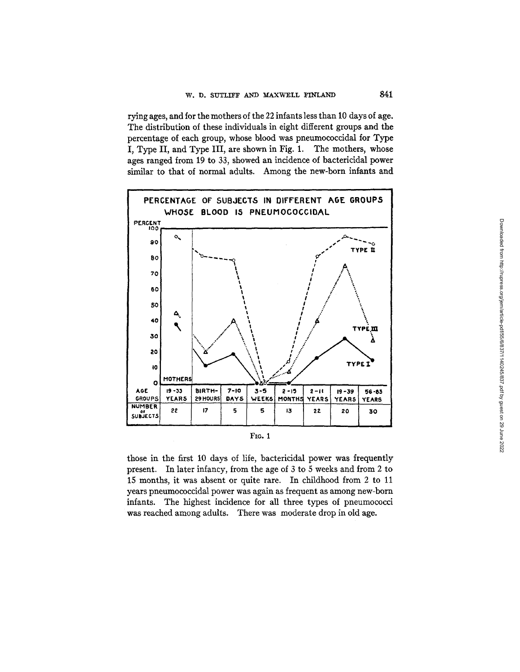rying ages, and for the mothers of the 22 infants less than 10 days of age. The distribution of these individuals in eight different groups and the percentage of each group, whose blood was pneumococeidal for Type I, Type II, and Type III, are shown in Fig. 1. The mothers, whose ages ranged from 19 to 33, showed an incidence of bacteriddal power similar to that of normal adults. Among the new-born infants and



| e e | ۰.<br>v |
|-----|---------|

those in the first 10 days of life, bactericidal power was frequently present. In later infancy, from the age of 3 to 5 weeks and from 2 to 15 months, it was absent or quite rare. In childhood from 2 to 11 years pneumococcidal power was again as frequent as among new-born infants. The highest incidence for all three types of pneumococci was reached among adults. There was moderate drop in old age.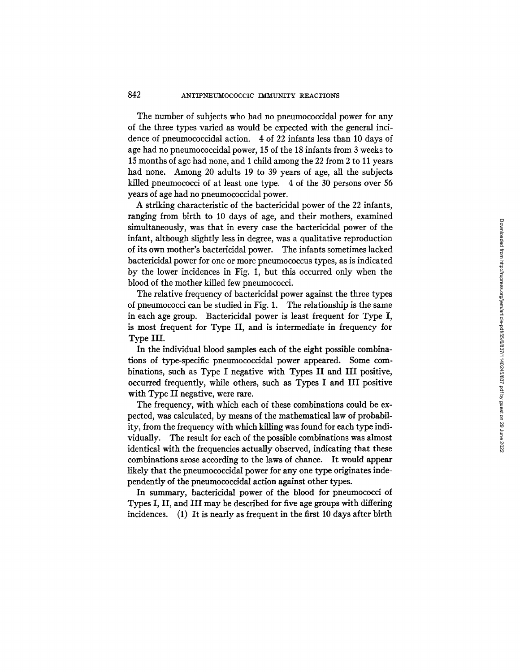The number of subjects who had no pneumococcidal power for any of the three types varied as would be expected with the general incidence of pneumococcidal action. 4 of 22 infants less than 10 days of age had no pneumococcidal power, 15 of the 18 infants from 3 weeks to 15 months of age had none, and i child among the 22 from 2 to 11 years had none. Among 20 adults 19 to 39 years of age, all the subjects killed pneumococci of at least one type. 4 of the 30 persons over 56 years of age had no pneumococcidal power.

A striking characteristic of the bactericidal power of the 22 infants, ranging from birth to 10 days of age, and their mothers, examined simultaneously, was that in every case the bactericidal power of the infant, although slightly less in degree, was a qualitative reproduction of its own mother's bactericidal power. The infants sometimes lacked bactericidal power for one or more pneumococcus types, as is indicated by the lower incidences in Fig. 1, but this occurred only when the blood of the mother killed few pneumococci.

The relative frequency of bactericidal power against the three types of pneumococci can be studied in Fig. 1. The relationship is the same in each age group. Bactericidal power is least frequent for Type I, is most frequent for Type II, and is intermediate in frequency for Type III.

In the individual blood samples each of the eight possible combinations of type-specific pneumococcidal power appeared. Some combinations, such as Type I negative with Types II and III positive, occurred frequently, while others, such as Types I and III positive with Type II negative, were rare.

The frequency, with which each of these combinations could be expected, was calculated, by means of the mathematical law of probability, from the frequency with which killing was found for each type individually. The result for each of the possible combinations was almost identical with the frequencies actually observed, indicating that these combinations arose according to the laws of chance. It would appear likely that the pneumococcidal power for any one type originates independently of the pneumococcidal action against other types.

In summary, bactericidal power of the blood for pneumococci of Types I, II, and III may be described for five age groups with differing incidences. (1) It is nearly as frequent in the first 10 days after birth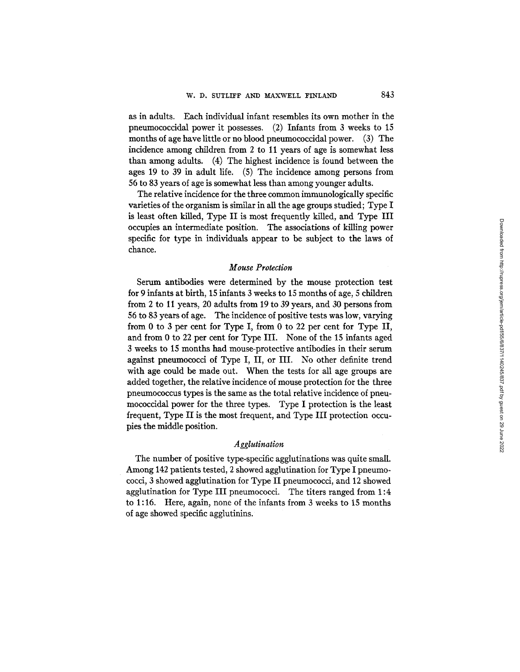as in adults. Each individual infant resembles its own mother in the pneumococcidal power it possesses. (2) Infants from 3 weeks to 15 months of age have little or no blood pneumococcidal power. (3) The incidence among children from 2 to 11 years of age is somewhat less than among adults. (4) The highest incidence is found between the ages 19 to 39 in adult life. (5) The incidence among persons from 56 to 83 years of age is somewhat less than among younger adults.

The relative incidence for the three common immunologically specific varieties of the organism is similar in all the age groups studied; Type I is least often killed, Type II is most frequently killed, and Type III occupies an intermediate position. The associations of killing power specific for type in individuals appear to be subject to the laws of chance.

# *Mouse Protection*

Serum antibodies were determined by the mouse protection test for 9 infants at birth, 15 infants 3 weeks to 15 months of age, 5 children from 2 to 11 years, 20 adults from 19 to 39 years, and 30 persons from 56 to 83 years of age. The incidence of positive tests was low, varying from 0 to 3 per cent for Type I, from 0 to 22 per cent for Type II, and from 0 to 22 per cent for Type III. None of the 15 infants aged 3 weeks to 15 months had mouse-protective antibodies in their serum against pneumococci of Type I, II, or III. No other definite trend with age could be made out. When the tests for all age groups are added together, the relative incidence of mouse protection for the three pneumococcus types is the same as the total relative incidence of pneumococcidal power for the three types. Type I protection is the least frequent, Type II is the most frequent, and Type III protection occupies the middle position.

# *Agglutination*

The number of positive type-specific agglutinations was quite small. Among 142 patients tested, 2 showed agglutination for Type I pneumococci, 3 showed agglutination for Type II pneumococci, and 12 showed agglutination for Type III pneumococci. The titers ranged from 1:4 to 1:16. Here, again, none of the infants from 3 weeks to 15 months of age showed specific agglutinins.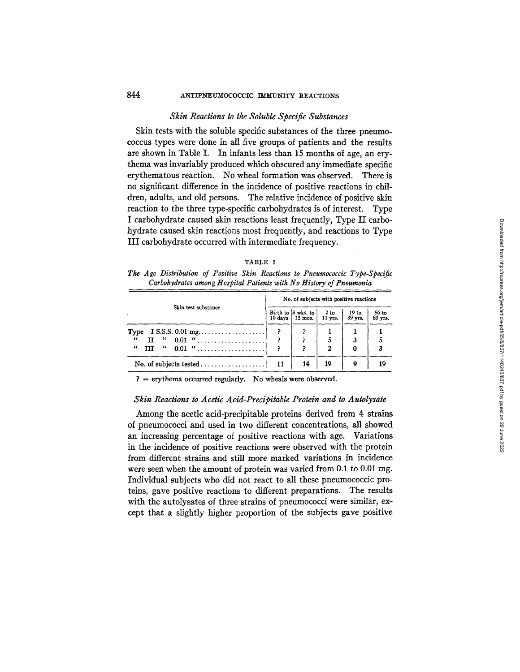### *Skin Reactions to the Soluble Specific Substances*

Skin tests with the soluble specific substances of the three pneumococcus types were done in all five groups of patients and the results are shown in Table I. In infants less than 15 months of age, an erythema was invariably produced which obscured any immediate specific erythematous reaction. No wheal formation was observed. There is no significant difference in the incidence of positive reactions in children, adults, and old persons. The relative incidence of positive skin reaction to the three type-specific carbohydrates is of interest. Type I carbohydrate caused skin reactions least frequently, Type II carbohydrate caused skin reactions most frequently, and reactions to Type III carbohydrate occurred with intermediate frequency.

|  | and a |
|--|-------|
|--|-------|

*The Age Distribution of Positive Skin Reactions to Pneumococcic Type-Specific Carbohydrates among tIospital Patients with No History of Pneumonia* 

|                     |  | No. of subjects with positive reactions             |                     |                             |                  |  |  |
|---------------------|--|-----------------------------------------------------|---------------------|-----------------------------|------------------|--|--|
| Skin test substance |  | Birth to $3$ wks, to<br>$10 \text{ days}$   15 mos. | $2$ to<br>$11$ yrs. | 19 <sub>to</sub><br>39 yrs. | 56 to<br>83 yrs. |  |  |
|                     |  |                                                     |                     |                             |                  |  |  |
| $\epsilon\epsilon$  |  |                                                     |                     |                             |                  |  |  |
| $\epsilon\epsilon$  |  |                                                     |                     | 0                           |                  |  |  |
|                     |  | 14                                                  | 19                  | 9                           | 19               |  |  |

 $? =$  erythema occurred regularly. No wheals were observed.

# *Skin Reactions to Acetic Acid-Precipitable Protein and to Autolysate*

Among the acetic acid-precipitable proteins derived from 4 strains of pneumococci and used in two different concentrations, all showed an increasing percentage of positive reactions with age. Variations in the incidence of positive reactions were observed with the protein from different strains and still more marked variations in incidence were seen when the amount of protein was varied from 0.1 to 0.01 mg. Individual subjects who did not react to all these pneumococcic proteins, gave positive reactions to different preparations. The results with the autolysates of three strains of pneumococci were similar, except that a slightly higher proportion of the subjects gave positive

Downloaded from http://rupress.org/jem/article-pdf/55/6/837/1140245/837.pdf by guest on 29 June 2022 Downloaded from http://rupress.org/jem/article-pdf/55/6/837/1140245/837.pdf by guest on 29 June 2022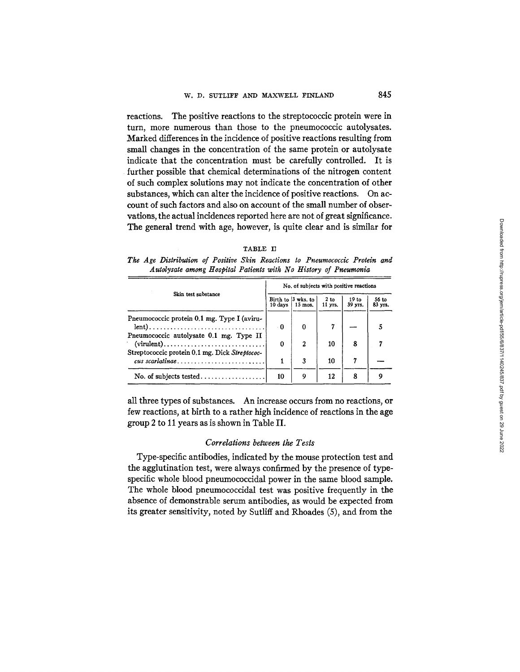reactions. The positive reactions to the streptococcic protein were in turn, more numerous than those to the pneumococcic autolysates. Marked differences in the incidence of positive reactions resulting from small changes in the concentration of the same protein or autolysate indicate that the concentration must be carefully controlled. It is further possible that chemical determinations of the nitrogen content of such complex solutions may not indicate the concentration of other substances, which can alter the incidence of positive reactions. On account of such factors and also on account of the small number of obser vations, the actual incidences reported here are not of great significance. The general trend with age, however, is quite clear and is similar for

| . .<br>. . |  |
|------------|--|
|------------|--|

*The Age Distribution of Positive Skin Reactions to Pneumococcic Protein and Autolysate among Hospital Patients with No History of Pneumonia* 

| Skin test substance                                                       |          | No. of subjects with positive reactions   |                   |                             |                  |  |  |
|---------------------------------------------------------------------------|----------|-------------------------------------------|-------------------|-----------------------------|------------------|--|--|
|                                                                           |          | Birth to 3 wks, to 1<br>$15 \text{ mos.}$ | $2$ to<br>11 yrs. | 19 <sub>to</sub><br>39 yrs. | 56 to<br>83 yrs. |  |  |
| Pneumococcic protein 0.1 mg. Type I (aviru-<br>$lent)$                    | - 0      | o                                         |                   |                             |                  |  |  |
| Pneumococcic autolysate 0.1 mg. Type II                                   | $\Omega$ | $\mathbf{2}$                              | 10                | 8                           |                  |  |  |
| Streptococcic protein 0.1 mg. Dick Streptococ-<br>$\alpha$ us scarlatinae |          | 3                                         | 10                | 7                           |                  |  |  |
|                                                                           | 10       | 9                                         | 12                | 8                           | o                |  |  |

all three types of substances. An increase occurs from no reactions, or few reactions, at birth to a rather high incidence of reactions in the age group 2 to 11 years as is shown in Table II.

## *Correlations between the Tests*

Type-specific antibodies, indicated by the mouse protection test and the agglutination test, were always confirmed by the presence of typespecific whole blood pneumococcidal power in the same blood sample. The whole blood pneumococcidal test was positive frequently in the absence of demonstrable serum antibodies, as would be expected from its greater sensitivity, noted by Sutliff and Rhoades (5), and from the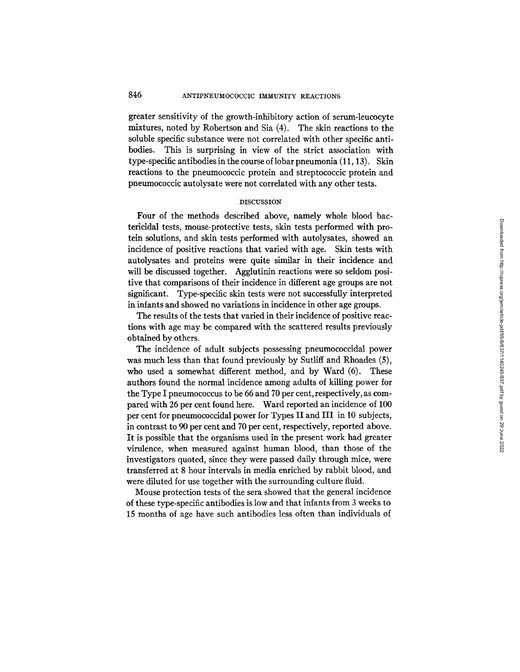greater sensitivity of the growth-inhibitory action of serum-leucocyte mixtures, noted by Robertson and Sia (4). The skin reactions to the soluble specific substance were not correlated with other specific antibodies. This is surprising in view of the strict association with type-specific antibodies in the course of lobar pneumonia (11, 13). Skin reactions to the pneumococcic protein and streptococcic protein and pneumococcic autolysate were not correlated with any other tests.

#### DISCUSSION

Four of the methods described above, namely whole blood bactericidal tests, mouse-protective tests, skin tests performed with protein solutions, and skin tests performed with autolysates, showed an incidence of positive reactions that varied with age. Skin tests with autolysates and proteins were quite similar in their incidence and will be discussed together. Agglutinin reactions were so seldom positive that comparisons of their incidence in different age groups are not significant. Type-specific skin tests were not successfully interpreted in infants and showed no variations in incidence in other age groups.

The results of the tests that varied in their incidence of positive reactions with age may be compared with the scattered results previously obtained by others.

The incidence of adult subjects possessing pneumococcidal power was much less than that found previously by Sutliff and Rhoades (5), who used a somewhat different method, and by Ward (6). These authors found the normal incidence among adults of killing power for the Type I pneumococcus to be 66 and 70 per cent, respectively, as compared with 26 per cent found here. Ward reported an incidence of 100 per cent for pneumococcidal power for Types II and III in 10 subjects, in contrast to 90 per cent and 70 per cent, respectively, reported above. It is possible that the organisms used in the present work had greater virulence, when measured against human blood, than those of the investigators quoted, since they were passed daily through mice, were transferred at 8 hour intervals in media enriched by rabbit blood, and were diluted for use together with the surrounding culture fluid.

Mouse protection tests of the sera showed that the general incidence of these type-specific antibodies is low and that infants from 3 weeks to 15 months of age have such antibodies less often than individuals of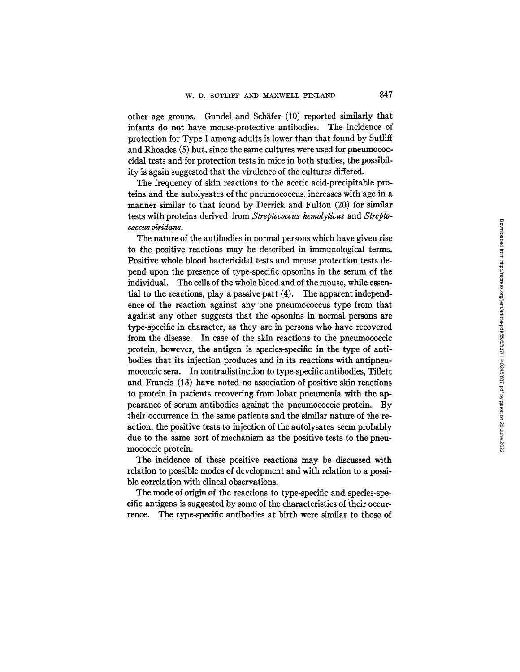other age groups. Gundel and Schafer (10) reported similarly that infants do not have mouse-protective antibodies. The incidence of protection for Type I among adults is lower than that found by Sutliff and Rhoades (5) but, since the same cultures were used for pneumococcidal tests and for protection tests in mice in both studies, the possibility is again suggested that the virulence of the cultures differed.

The frequency of skin reactions to the acetic acid-precipitable proteins and the autolysates of the pneumococcus, increases with age in a manner similar to that found by Derrick and Fulton (20) for similar tests with proteins derived from *Streptococcus hemolyticus* and *Streptococcus viridans.* 

The nature of the antibodies in normal persons which have given rise to the positive reactions may be described in immunological terms. Positive whole blood bactericidal tests and mouse protection tests depend upon the presence of type-specific opsonins in the serum of the individual. The cells of the whole blood and of the mouse, while essential to the reactions, play a passive part (4). The apparent independence of the reaction against any one pneumococcus type from that against any other suggests that the opsonins in normal persons are type-specific in character, as they are in persons who have recovered from the disease. In case of the skin reactions to the pneumococcic protein, however, the antigen is species-specific in the type of antibodies that its injection produces and in its reactions with antipneumococcic sera. In contradistinction to type-specific antibodies, Tillett and Francis (13) have noted no association of positive skin reactions to protein in patients recovering from lobar pneumonia with the appearance of serum antibodies against the pneumococcic protein. By their occurrence in the same patients and the similar nature of the reaction, the positive tests to injection of the autolysates seem probably due to the same sort of mechanism as the positive tests to the pneumococcic protein.

The incidence of these positive reactions may be discussed with relation to possible modes of development and with relation to a possible correlation with clincal observations.

The mode of origin of the reactions to type-specific and species-specific antigens is suggested by some of the characteristics of their occurrence. The type-specific antibodies at birth were similar to those of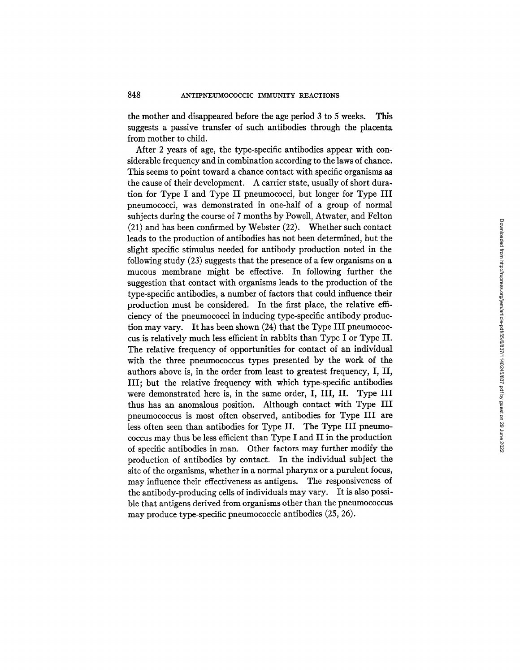the mother and disappeared before the age period 3 to 5 weeks. This suggests a passive transfer of such antibodies through the placenta from mother to child.

After 2 years of age, the type-specific antibodies appear with considerable frequency and in combination according to the laws of chance. This seems to point toward a chance contact with specific organisms as the cause of their development. A carrier state, usually of short duration for Type I and Type II pneumococci, but longer for Type III pneumococci, was demonstrated in one-half of a group of normal subjects during the course of 7 months by Powell, Atwater, and Felton (21) and has been confirmed by Webster (22). Whether such contact leads to the production of antibodies has not been determined, but the slight specific stimulus needed for antibody production noted in the following study (23) suggests that the presence of a few organisms on a mucous membrane might be effective. In following further the suggestion that contact with organisms leads to the production of the type-specific antibodies, a number of factors that could influence their production must be considered. In the first place, the relative efficiency of the pneumococci in inducing type-specific antibody production may vary. It has been shown (24) that the Type III pneumococcus is relatively much less efficient in rabbits than Type I or Type II. The relative frequency of opportunities for contact of an individual with the three pneumococcus types presented by the work of the authors above is, in the order from least to greatest frequency, I, II, III; but the relative frequency with which type-specific antibodies were demonstrated here is, in the same order, I, III, II. Type III thus has an anomalous position. Although contact with Type III pneumococcus is most often observed, antibodies for Type III are less often seen than antibodies for Type II. The Type III pneumococcus may thus be less efficient than Type I and II in the production of specific antibodies in man. Other factors may further modify the production of antibodies by contact. In the individual subject the site of the organisms, whether in a normal pharynx or a purulent focus, may influence their effectiveness as antigens. The responsiveness of the antibody-producing cells of individuals may vary. It is also possible that antigens derived from organisms other than the pneumococcus may produce type-specific pneumococcic antibodies (25, 26).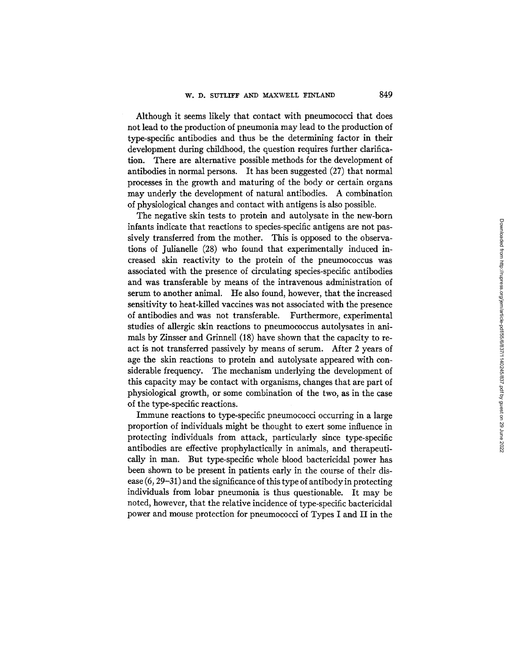Although it seems likely that contact with pneumococci that does not lead to the production of pneumonia may lead to the production of type-specific antibodies and thus be the determining factor in their development during childhood, the question requires further clarification. There are alternative possible methods for the development of antibodies in normal persons. It has been suggested (27) that normal processes in the growth and maturing of the body or certain organs may underly the development of natural antibodies. A combination of physiological changes and contact with antigens is also possible.

The negative skin tests to protein and autolysate in the new-born infants indicate that reactions to species-specific antigens are not passively transferred from the mother. This is opposed to the observations of Julianelle (28) who found that experimentally induced increased skin reactivity to the protein of the pneumococcus was associated with the presence of circulating species-specific antibodies and was transferable by means of the intravenous administration of serum to another animal. He also found, however, that the increased sensitivity to heat-killed vaccines was not associated with the presence of antibodies and was not transferable. Furthermore, experimental studies of allergic skin reactions to pneumococcus autolysates in animals by Zinsser and Grinnell (18) have shown that the capacity to react is not transferred passively by means of serum. After 2 years of age the skin reactions to protein and autolysate appeared with considerable frequency. The mechanism underlying the development of this capacity may be contact with organisms, changes that are part of physiological growth, or some combination of the two, as in the case of the type-specific reactions.

Immune reactions to type-specific pneumococci occurring in a large proportion of individuals might be thought to exert some influence in protecting individuals from attack, particularly since type-specific antibodies are effective prophylactically in animals, and therapeutically in man. But type-specific whole blood bactericidal power has been shown to be present in patients early in the course of their disease (6, 29-31) and the significance of this type of antibody in protecting individuals from lobar pneumonia is thus questionable. It may be noted, however, that the relative incidence of type-specific bactericidal power and mouse protection for pneumococci of Types I and II in the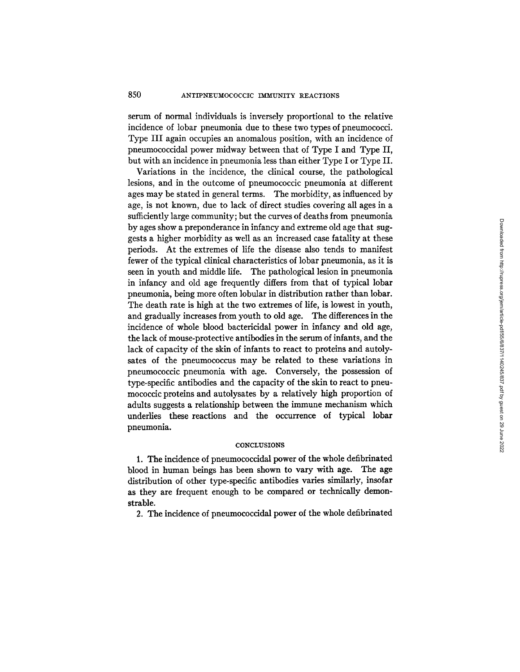serum of normal individuals is inversely proportional to the relative incidence of lobar pneumonia due to these two types of pneumococci. Type III again occupies an anomalous position, with an incidence of pneumococcidal power midway between that of Type I and Type II, but with an incidence in pneumonia less than either Type I or Type II.

Variations in the incidence, the clinical course, the pathological lesions, and in the outcome of pneumococcic pneumonia at different ages may be stated in general terms. The morbidity, as influenced by age, is not known, due to lack of direct studies covering all ages in a sufficiently large community; but the curves of deaths from pneumonia by ages show a preponderance in infancy and extreme old age that suggests a higher morbidity as well as an increased case fatality at these periods. At the extremes of life the disease also tends to manifest fewer of the typical clinical characteristics of lobar pneumonia, as it is seen in youth and middle life. The pathological lesion in pneumonia in infancy and old age frequently differs from that of typical lobar pneumonia, being more often lobular in distribution rather than lobar. The death rate is high at the two extremes of life, is lowest in youth, and gradually increases from youth to old age. The differences in the incidence of whole blood bactericidal power in infancy and old age, the lack of mouse-protective antibodies in the serum of infants, and the lack of capacity of the skin of infants to react to proteins and autolysates of the pneumococcus may be related to these variations in pneumococcic pneumonia with age. Conversely, the possession of type-specific antibodies and the capacity of the skin to react to pneumococcic proteins and autolysates by a relatively high proportion of adults suggests a relationship between the immune mechanism which underlies these reactions and the occurrence of typical lobar pneumonia.

#### **CONCLUSIONS**

1. The incidence of pneumococcidal power of the whole defibrinated blood in human beings has been shown to vary with age. The age distribution of other type-specific antibodies varies similarly, insofar as they are frequent enough to be compared or technically demonstrable.

2. The incidence of pneumococcidal power of the whole defibrinated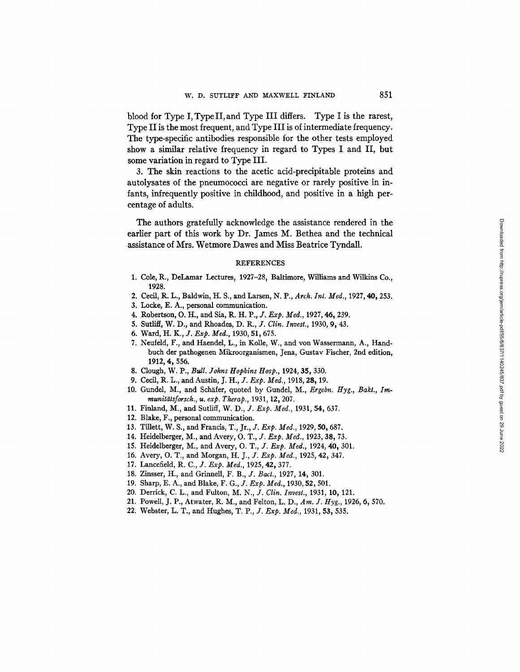blood for Type I, Type II, and Type III differs. Type I is the rarest, Type II is the most frequent, and Type III is of intermediate frequency. The type-specific antibodies responsible for the other tests employed show a similar relative frequency in regard to Types I and II, but some variation in regard to Type III.

3. The skin reactions to the acetic acid-precipitable proteins and autolysates of the pneumococci are negative or rarely positive in infants, infrequently positive in childhood, and positive in a high percentage of adults.

The authors gratefully acknowledge the assistance rendered in the earlier part of this work by Dr. James M. Bethea and the technical assistance of Mrs. Wetmore Dawes and Miss Beatrice Tyndall.

#### REFERENCES

- 1. Cole, R., DeLamar Lectures, 1927-28, Baltimore, Williams and Wilkins Co., 1928.
- 2. Cecil, R. L., Baldwin, H. S., and Larsen, N. P., Arch. Int. Med., 1927, 40, 253.
- 3. Locke, E. A., personal communication.
- 4. Robertson, O. H., and Sia, R. H. P., *J. Exp. Med.,* 1927, 46, 239.
- 5. Sutlig, W. D., and Rhoades, *D. R., J. Clin. Invest.,* 1930, 9, 43.
- 6. Ward, *H. K., J. Exp. Ivied.,* 1930, 51,675.
- 7. Neufeld, F., and Haendel, L., in Kolle, W., and yon Wassermann, A., Handbuch der pathogenen Mikroorganismen, Jena, Gustav Fischer, 2nd edition, 1912, 4, 556.
- 8. Clough, W. P., *Bull. Johns Hopkins Hosp.,* 1924, 35,330.
- 9. Cecil, R. L., and Austin, *J. H., J. Exp. Med.,* 1918, 28, 19.
- 10. Gundel, M., and Schäfer, quoted by Gundel, M., *Ergebn. Hyg., Bakt., Immunit~tsforsch., u. exp. Therap.,* 1931, 12,207.
- 11. Finland, M., and Sutliff, *W. D., J. Exp. Med.,* 1931, 54, 637.
- 12. Blake, F., personal communication.
- 13. Tillett, W. S., and Francis, T., Jr., *J. Exp. Med.,* 1929, 50, 687.
- 14. Fleidelberger, M., and Avery, *O. T., J. Exp. Ivied.,* 1923, 38, 73.
- 15. Heidelberger, M., and Avery, *O. T., J. Exp. Med.,* 1924, 40, 301.
- 16. Avery, O. T., and Morgan, *H. J., J. Exp. Med.*, 1925, 42, 347.
- 17. Lancefield, *R. C., J. Exp. Med.,* 1925, 42,377.
- 18. Zinsser, H., and Grinnell, *F. B., J. Bact.,* 1927, 14, 301.
- 19. Sharp, E. A., and Blake, *F. G., J. Exp. Med.,* 1930, 52,501.
- 20. Derrick, C. L., and Fulton, *M. N., J. Clin. Invest.,* 1931, 10, 121.
- 21. Powell, J. P., Atwater, R. M., and Felton, L. D., *Am. J. Hyg.,* 1926, 6, 570.
- 22. Webster, L. T., and Hughes, *T. P., J. Exp. Med.,* 1931, 53,535.